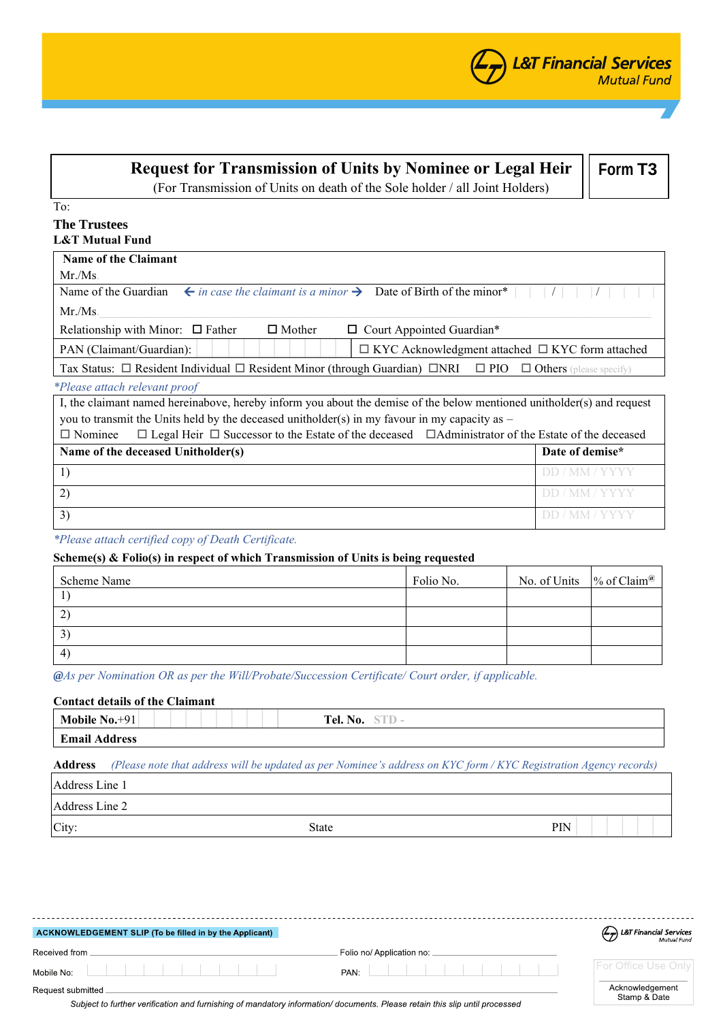| <b>Request for Transmission of Units by Nominee or Legal Heir</b><br>(For Transmission of Units on death of the Sole holder / all Joint Holders) | Form T3         |
|--------------------------------------------------------------------------------------------------------------------------------------------------|-----------------|
| To:                                                                                                                                              |                 |
| <b>The Trustees</b>                                                                                                                              |                 |
| <b>L&amp;T Mutual Fund</b>                                                                                                                       |                 |
| <b>Name of the Claimant</b>                                                                                                                      |                 |
| Mr/Ms                                                                                                                                            |                 |
| $\leftarrow$ in case the claimant is a minor $\rightarrow$ Date of Birth of the minor*<br>Name of the Guardian                                   |                 |
| $Mr.Ms$ .                                                                                                                                        |                 |
| $\Box$ Mother<br>Relationship with Minor: $\Box$ Father<br>$\Box$ Court Appointed Guardian*                                                      |                 |
| $\Box$ KYC Acknowledgment attached $\Box$ KYC form attached<br>PAN (Claimant/Guardian):                                                          |                 |
| Tax Status: $\Box$ Resident Individual $\Box$ Resident Minor (through Guardian) $\Box$ NRI $\Box$ PIO<br>$\Box$ Others (please specify)          |                 |
| <i>*Please attach relevant proof</i>                                                                                                             |                 |
| I, the claimant named hereinabove, hereby inform you about the demise of the below mentioned unitholder(s) and request                           |                 |
| you to transmit the Units held by the deceased unitholder(s) in my favour in my capacity as $-$                                                  |                 |
| $\Box$ Legal Heir $\Box$ Successor to the Estate of the deceased $\Box$ Administrator of the Estate of the deceased<br>$\Box$ Nominee            |                 |
| Name of the deceased Unitholder(s)                                                                                                               | Date of demise* |
| 1)                                                                                                                                               | DD / MM / YYYY  |
| 2)                                                                                                                                               | DD / MM / YYYY  |

## *\*Please attach certified copy of Death Certificate.*

## **Scheme(s) & Folio(s) in respect of which Transmission of Units is being requested**

| Scheme Name    | Folio No. | No. of Units $\%$ of Claim <sup>@</sup> |  |
|----------------|-----------|-----------------------------------------|--|
|                |           |                                         |  |
| $\overline{2}$ |           |                                         |  |
| 3              |           |                                         |  |
| $\overline{4}$ |           |                                         |  |

 $3)$  DD / MM / YYYY

*@As per Nomination OR as per the Will/Probate/Succession Certificate/ Court order, if applicable.*

# **Contact details of the Claimant**

| Mobile No. <sup>+</sup> | Tel. No. |
|-------------------------|----------|
| $. +01$                 | $\cdots$ |
| <b>Email Address</b>    |          |

### **Address** *(Please note that address will be updated as per Nominee's address on KYC form / KYC Registration Agency records)*

| Address Line 1 |              |     |
|----------------|--------------|-----|
| Address Line 2 |              |     |
| City:          | <b>State</b> | PIN |

| ACKNOWLEDGEMENT SLIP (To be filled in by the Applicant)                                                                                         |                           | <b>L&amp;T Financial Services</b><br>Mutual Fund |
|-------------------------------------------------------------------------------------------------------------------------------------------------|---------------------------|--------------------------------------------------|
| Received from                                                                                                                                   | Folio no/ Application no: |                                                  |
| Mobile No:                                                                                                                                      | PAN:                      | <b>For Office Use Only</b>                       |
| Request submitted<br>Subject to further verification and furnishing of mandatory information/documents. Please retain this slip until processed |                           | Acknowledgement<br>Stamp & Date                  |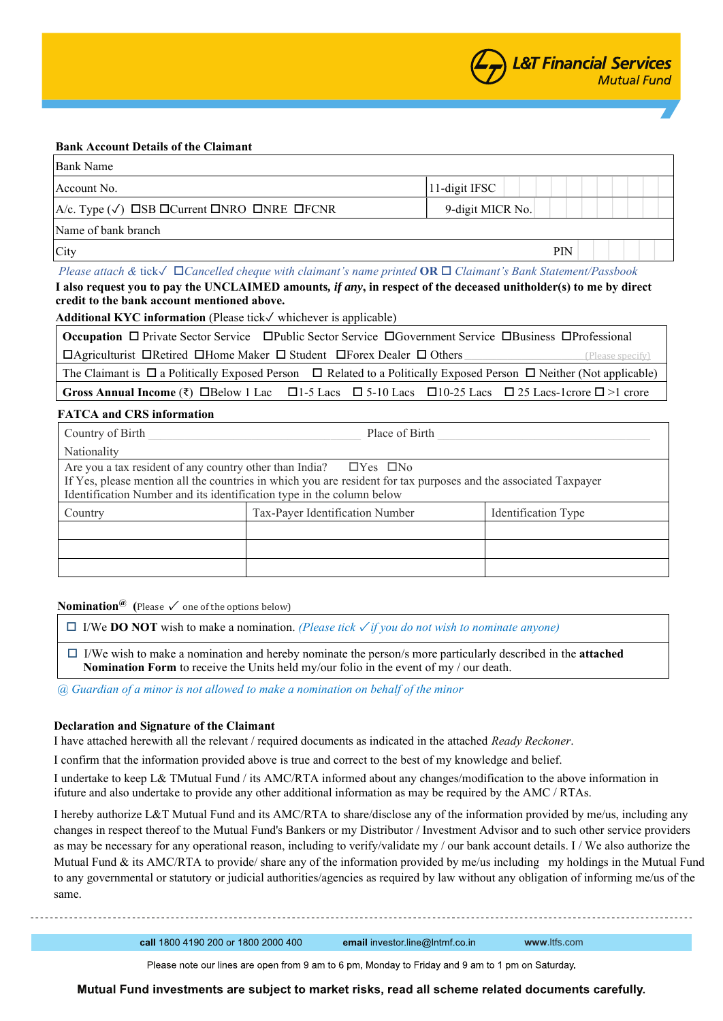### **Bank Account Details of the Claimant**

| <b>Bank Name</b>                                                                    |                   |
|-------------------------------------------------------------------------------------|-------------------|
| Account No.                                                                         | $ 11$ -digit IFSC |
| $ A/c.$ Type $(\sqrt{})$ $\Box$ SB $\Box$ Current $\Box$ NRO $\Box$ NRE $\Box$ FCNR | 9-digit MICR No.  |
| Name of bank branch                                                                 |                   |
| City                                                                                | <b>PIN</b>        |

*Please attach &* tick✓ *Cancelled cheque with claimant's name printed* **OR** *Claimant's Bank Statement/Passbook*  **I also request you to pay the UNCLAIMED amounts***, if any***, in respect of the deceased unitholder(s) to me by direct** 

#### **credit to the bank account mentioned above.**

**Additional KYC information** (Please tick✓ whichever is applicable)

| <b>Occupation</b> $\Box$ Private Sector Service $\Box$ Public Sector Service $\Box$ Government Service $\Box$ Business $\Box$ Professional             |                  |
|--------------------------------------------------------------------------------------------------------------------------------------------------------|------------------|
| $\Box$ Agriculturist $\Box$ Retired $\Box$ Home Maker $\Box$ Student $\Box$ Forex Dealer $\Box$ Others                                                 | (Please specify) |
| The Claimant is $\Box$ a Politically Exposed Person $\Box$ Related to a Politically Exposed Person $\Box$ Neither (Not applicable)                     |                  |
| $\vert$ Gross Annual Income $(\bar{\tau})$ $\Box$ Below 1 Lac $\Box$ 1-5 Lacs $\Box$ 5-10 Lacs $\Box$ 10-25 Lacs $\Box$ 25 Lacs-1crore $\Box$ >1 crore |                  |

### **FATCA and CRS information**

| Country of Birth                                                                                                | Place of Birth                  |                            |
|-----------------------------------------------------------------------------------------------------------------|---------------------------------|----------------------------|
| Nationality                                                                                                     |                                 |                            |
| Are you a tax resident of any country other than India? $\square$ Yes $\square$ No                              |                                 |                            |
| If Yes, please mention all the countries in which you are resident for tax purposes and the associated Taxpayer |                                 |                            |
| Identification Number and its identification type in the column below                                           |                                 |                            |
| Country                                                                                                         | Tax-Payer Identification Number | <b>Identification Type</b> |
|                                                                                                                 |                                 |                            |
|                                                                                                                 |                                 |                            |
|                                                                                                                 |                                 |                            |
|                                                                                                                 |                                 |                            |

**Nomination**<sup> $@$ </sup> (Please  $\checkmark$  one of the options below)

I/We **DO NOT** wish to make a nomination. *(Please tick* ✓ *if you do not wish to nominate anyone)*

 I/We wish to make a nomination and hereby nominate the person/s more particularly described in the **attached Nomination Form** to receive the Units held my/our folio in the event of my / our death.

*@ Guardian of a minor is not allowed to make a nomination on behalf of the minor*

### **Declaration and Signature of the Claimant**

I have attached herewith all the relevant / required documents as indicated in the attached *Ready Reckoner*.

I confirm that the information provided above is true and correct to the best of my knowledge and belief.

I undertake to keep L& TMutual Fund / its AMC/RTA informed about any changes/modification to the above information in ifuture and also undertake to provide any other additional information as may be required by the AMC / RTAs.

I hereby authorize L&T Mutual Fund and its AMC/RTA to share/disclose any of the information provided by me/us, including any changes in respect thereof to the Mutual Fund's Bankers or my Distributor / Investment Advisor and to such other service providers as may be necessary for any operational reason, including to verify/validate my / our bank account details. I / We also authorize the Mutual Fund & its AMC/RTA to provide/ share any of the information provided by me/us including my holdings in the Mutual Fund to any governmental or statutory or judicial authorities/agencies as required by law without any obligation of informing me/us of the same.

call 1800 4190 200 or 1800 2000 400

email investor.line@Intmf.co.in

**www**.ltfs.com

Please note our lines are open from 9 am to 6 pm, Monday to Friday and 9 am to 1 pm on Saturday.

Mutual Fund investments are subject to market risks, read all scheme related documents carefully.